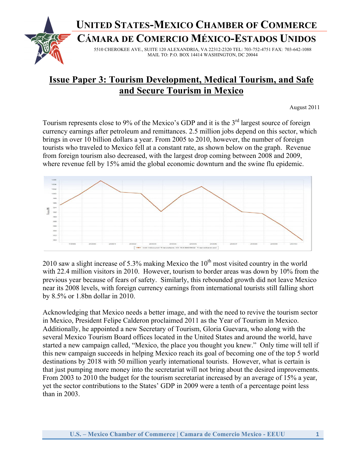# **UNITED STATES-MEXICO CHAMBER OF COMMERCE**

**CÁMARA DE COMERCIO MÉXICO-ESTADOS UNIDOS**



5510 CHEROKEE AVE., SUITE 120 ALEXANDRIA, VA 22312-2320 TEL: 703-752-4751 FAX: 703-642-1088 MAIL TO: P.O. BOX 14414 WASHINGTON, DC 20044

# **Issue Paper 3: Tourism Development, Medical Tourism, and Safe and Secure Tourism in Mexico**

August 2011

Tourism represents close to 9% of the Mexico's GDP and it is the 3<sup>rd</sup> largest source of foreign currency earnings after petroleum and remittances. 2.5 million jobs depend on this sector, which brings in over 10 billion dollars a year. From 2005 to 2010, however, the number of foreign tourists who traveled to Mexico fell at a constant rate, as shown below on the graph. Revenue from foreign tourism also decreased, with the largest drop coming between 2008 and 2009, where revenue fell by 15% amid the global economic downturn and the swine flu epidemic.



2010 saw a slight increase of 5.3% making Mexico the  $10<sup>th</sup>$  most visited country in the world with 22.4 million visitors in 2010. However, tourism to border areas was down by 10% from the previous year because of fears of safety. Similarly, this rebounded growth did not leave Mexico near its 2008 levels, with foreign currency earnings from international tourists still falling short by 8.5% or 1.8bn dollar in 2010.

Acknowledging that Mexico needs a better image, and with the need to revive the tourism sector in Mexico, President Felipe Calderon proclaimed 2011 as the Year of Tourism in Mexico. Additionally, he appointed a new Secretary of Tourism, Gloria Guevara, who along with the several Mexico Tourism Board offices located in the United States and around the world, have started a new campaign called, "Mexico, the place you thought you knew." Only time will tell if this new campaign succeeds in helping Mexico reach its goal of becoming one of the top 5 world destinations by 2018 with 50 million yearly international tourists. However, what is certain is that just pumping more money into the secretariat will not bring about the desired improvements. From 2003 to 2010 the budget for the tourism secretariat increased by an average of 15% a year, yet the sector contributions to the States' GDP in 2009 were a tenth of a percentage point less than in 2003.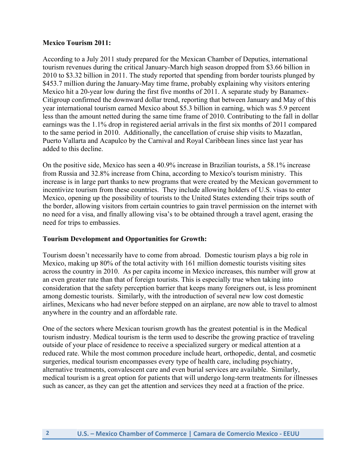#### **Mexico Tourism 2011:**

According to a July 2011 study prepared for the Mexican Chamber of Deputies, international tourism revenues during the critical January-March high season dropped from \$3.66 billion in 2010 to \$3.32 billion in 2011. The study reported that spending from border tourists plunged by \$453.7 million during the January-May time frame, probably explaining why visitors entering Mexico hit a 20-year low during the first five months of 2011. A separate study by Banamex-Citigroup confirmed the downward dollar trend, reporting that between January and May of this year international tourism earned Mexico about \$5.3 billion in earning, which was 5.9 percent less than the amount netted during the same time frame of 2010. Contributing to the fall in dollar earnings was the 1.1% drop in registered aerial arrivals in the first six months of 2011 compared to the same period in 2010. Additionally, the cancellation of cruise ship visits to Mazatlan, Puerto Vallarta and Acapulco by the Carnival and Royal Caribbean lines since last year has added to this decline.

On the positive side, Mexico has seen a 40.9% increase in Brazilian tourists, a 58.1% increase from Russia and 32.8% increase from China, according to Mexico's tourism ministry. This increase is in large part thanks to new programs that were created by the Mexican government to incentivize tourism from these countries. They include allowing holders of U.S. visas to enter Mexico, opening up the possibility of tourists to the United States extending their trips south of the border, allowing visitors from certain countries to gain travel permission on the internet with no need for a visa, and finally allowing visa's to be obtained through a travel agent, erasing the need for trips to embassies.

### **Tourism Development and Opportunities for Growth:**

Tourism doesn't necessarily have to come from abroad. Domestic tourism plays a big role in Mexico, making up 80% of the total activity with 161 million domestic tourists visiting sites across the country in 2010. As per capita income in Mexico increases, this number will grow at an even greater rate than that of foreign tourists. This is especially true when taking into consideration that the safety perception barrier that keeps many foreigners out, is less prominent among domestic tourists. Similarly, with the introduction of several new low cost domestic airlines, Mexicans who had never before stepped on an airplane, are now able to travel to almost anywhere in the country and an affordable rate.

One of the sectors where Mexican tourism growth has the greatest potential is in the Medical tourism industry. Medical tourism is the term used to describe the growing practice of traveling outside of your place of residence to receive a specialized surgery or medical attention at a reduced rate. While the most common procedure include heart, orthopedic, dental, and cosmetic surgeries, medical tourism encompasses every type of health care, including psychiatry, alternative treatments, convalescent care and even burial services are available. Similarly, medical tourism is a great option for patients that will undergo long-term treatments for illnesses such as cancer, as they can get the attention and services they need at a fraction of the price.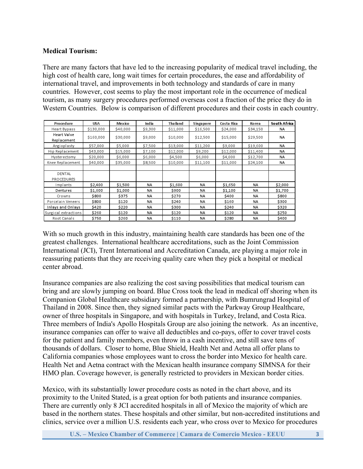### **Medical Tourism:**

There are many factors that have led to the increasing popularity of medical travel including, the high cost of health care, long wait times for certain procedures, the ease and affordability of international travel, and improvements in both technology and standards of care in many countries. However, cost seems to play the most important role in the occurrence of medical tourism, as many surgery procedures performed overseas cost a fraction of the price they do in Western Countries. Below is comparison of different procedures and their costs in each country.

| Procedure                          | <b>USA</b> | <b>Mexico</b> | India     | Thailand | <b>Singapore</b> | Costa Rica | <b>Korea</b> | South Africa |
|------------------------------------|------------|---------------|-----------|----------|------------------|------------|--------------|--------------|
| <b>Heart Bypass</b>                | \$130,000  | \$40,000      | \$9,300   | \$11,000 | \$16,500         | \$24,000   | \$34,150     | NA.          |
| Heart Valve<br>Replacement         | \$160,000  | \$30,000      | \$9,000   | \$10,000 | \$12,500         | \$15,000   | \$29,500     | <b>NA</b>    |
| Angioplasty                        | \$57,000   | \$5,000       | \$7,500   | \$13,000 | \$11,200         | \$9,000    | \$19,600     | NA           |
| Hip Replacement                    | \$43,000   | \$15,000      | \$7,100   | \$12,000 | \$9,200          | \$12,000   | \$11,400     | NA           |
| Hysterectomy                       | \$20,000   | \$6,000       | \$6,000   | \$4,500  | \$6,000          | \$4,000    | \$12,700     | NA           |
| Knee Replacement                   | \$40,000   | \$35,000      | \$8,500   | \$10,000 | \$11,100         | \$11,000   | \$24,100     | NA           |
| <b>DENTAL</b><br><b>PROCEDURES</b> |            |               |           |          |                  |            |              |              |
| Implants                           | \$2,400    | \$1,500       | <b>NA</b> | \$1,600  | <b>NA</b>        | \$1,650    | NA           | \$2,000      |
| Dentures                           | \$1,600    | \$1,000       | NA        | \$900    | <b>NA</b>        | \$1,100    | NA           | \$1,700      |
| Crowns                             | \$800      | \$375         | NA        | \$270    | <b>NA</b>        | \$400      | <b>NA</b>    | \$800        |
| Porcelain Veneers                  | \$800      | \$120         | <b>NA</b> | \$240    | <b>NA</b>        | \$160      | <b>NA</b>    | \$300        |
| Inlays and Onlays                  | \$420      | \$220         | <b>NA</b> | \$300    | NA               | \$240      | <b>NA</b>    | \$320        |
| Surgical extractions               | \$260      | \$120         | <b>NA</b> | \$120    | <b>NA</b>        | \$120      | <b>NA</b>    | \$250        |
| Root Canals                        | \$750      | \$260         | NA        | \$110    | NA               | \$280      | NA           | \$400        |

With so much growth in this industry, maintaining health care standards has been one of the greatest challenges. International healthcare accreditations, such as the Joint Commission International (JCI), Trent International and Accreditation Canada, are playing a major role in reassuring patients that they are receiving quality care when they pick a hospital or medical center abroad.

Insurance companies are also realizing the cost saving possibilities that medical tourism can bring and are slowly jumping on board. Blue Cross took the lead in medical off shoring when its Companion Global Healthcare subsidiary formed a partnership, with Bumrungrad Hospital of Thailand in 2008. Since then, they signed similar pacts with the Parkway Group Healthcare, owner of three hospitals in Singapore, and with hospitals in Turkey, Ireland, and Costa Rica. Three members of India's Apollo Hospitals Group are also joining the network. As an incentive, insurance companies can offer to waive all deductibles and co-pays, offer to cover travel costs for the patient and family members, even throw in a cash incentive, and still save tens of thousands of dollars. Closer to home, Blue Shield, Health Net and Aetna all offer plans to California companies whose employees want to cross the border into Mexico for health care. Health Net and Aetna contract with the Mexican health insurance company SIMNSA for their HMO plan. Coverage however, is generally restricted to providers in Mexican border cities.

Mexico, with its substantially lower procedure costs as noted in the chart above, and its proximity to the United Stated, is a great option for both patients and insurance companies. There are currently only 8 JCI accredited hospitals in all of Mexico the majority of which are based in the northern states. These hospitals and other similar, but non-accredited institutions and clinics, service over a million U.S. residents each year, who cross over to Mexico for procedures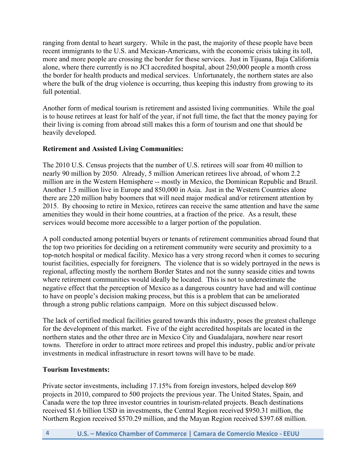ranging from dental to heart surgery. While in the past, the majority of these people have been recent immigrants to the U.S. and Mexican-Americans, with the economic crisis taking its toll, more and more people are crossing the border for these services. Just in Tijuana, Baja California alone, where there currently is no JCI accredited hospital, about 250,000 people a month cross the border for health products and medical services. Unfortunately, the northern states are also where the bulk of the drug violence is occurring, thus keeping this industry from growing to its full potential.

Another form of medical tourism is retirement and assisted living communities. While the goal is to house retirees at least for half of the year, if not full time, the fact that the money paying for their living is coming from abroad still makes this a form of tourism and one that should be heavily developed.

## **Retirement and Assisted Living Communities:**

The 2010 U.S. Census projects that the number of U.S. retirees will soar from 40 million to nearly 90 million by 2050. Already, 5 million American retirees live abroad, of whom 2.2 million are in the Western Hemisphere -- mostly in Mexico, the Dominican Republic and Brazil. Another 1.5 million live in Europe and 850,000 in Asia. Just in the Western Countries alone there are 220 million baby boomers that will need major medical and/or retirement attention by 2015. By choosing to retire in Mexico, retirees can receive the same attention and have the same amenities they would in their home countries, at a fraction of the price. As a result, these services would become more accessible to a larger portion of the population.

A poll conducted among potential buyers or tenants of retirement communities abroad found that the top two priorities for deciding on a retirement community were security and proximity to a top-notch hospital or medical facility. Mexico has a very strong record when it comes to securing tourist facilities, especially for foreigners. The violence that is so widely portrayed in the news is regional, affecting mostly the northern Border States and not the sunny seaside cities and towns where retirement communities would ideally be located. This is not to underestimate the negative effect that the perception of Mexico as a dangerous country have had and will continue to have on people's decision making process, but this is a problem that can be ameliorated through a strong public relations campaign. More on this subject discussed below.

The lack of certified medical facilities geared towards this industry, poses the greatest challenge for the development of this market. Five of the eight accredited hospitals are located in the northern states and the other three are in Mexico City and Guadalajara, nowhere near resort towns. Therefore in order to attract more retirees and propel this industry, public and/or private investments in medical infrastructure in resort towns will have to be made.

### **Tourism Investments:**

Private sector investments, including 17.15% from foreign investors, helped develop 869 projects in 2010, compared to 500 projects the previous year. The United States, Spain, and Canada were the top three investor countries in tourism-related projects. Beach destinations received \$1.6 billion USD in investments, the Central Region received \$950.31 million, the Northern Region received \$570.29 million, and the Mayan Region received \$397.68 million.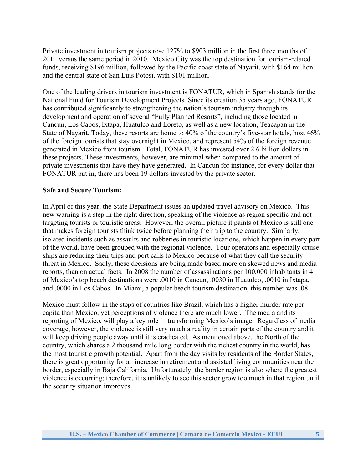Private investment in tourism projects rose 127% to \$903 million in the first three months of 2011 versus the same period in 2010. Mexico City was the top destination for tourism-related funds, receiving \$196 million, followed by the Pacific coast state of Nayarit, with \$164 million and the central state of San Luis Potosi, with \$101 million.

One of the leading drivers in tourism investment is FONATUR, which in Spanish stands for the National Fund for Tourism Development Projects. Since its creation 35 years ago, FONATUR has contributed significantly to strengthening the nation's tourism industry through its development and operation of several "Fully Planned Resorts", including those located in Cancun, Los Cabos, Ixtapa, Huatulco and Loreto, as well as a new location, Teacapan in the State of Nayarit. Today, these resorts are home to 40% of the country's five-star hotels, host 46% of the foreign tourists that stay overnight in Mexico, and represent 54% of the foreign revenue generated in Mexico from tourism. Total, FONATUR has invested over 2.6 billion dollars in these projects. These investments, however, are minimal when compared to the amount of private investments that have they have generated. In Cancun for instance, for every dollar that FONATUR put in, there has been 19 dollars invested by the private sector.

#### **Safe and Secure Tourism:**

In April of this year, the State Department issues an updated travel advisory on Mexico. This new warning is a step in the right direction, speaking of the violence as region specific and not targeting tourists or touristic areas. However, the overall picture it paints of Mexico is still one that makes foreign tourists think twice before planning their trip to the country. Similarly, isolated incidents such as assaults and robberies in touristic locations, which happen in every part of the world, have been grouped with the regional violence. Tour operators and especially cruise ships are reducing their trips and port calls to Mexico because of what they call the security threat in Mexico. Sadly, these decisions are being made based more on skewed news and media reports, than on actual facts. In 2008 the number of assassinations per 100,000 inhabitants in 4 of Mexico's top beach destinations were .0010 in Cancun, .0030 in Huatulco, .0010 in Ixtapa, and .0000 in Los Cabos. In Miami, a popular beach tourism destination, this number was .08.

Mexico must follow in the steps of countries like Brazil, which has a higher murder rate per capita than Mexico, yet perceptions of violence there are much lower. The media and its reporting of Mexico, will play a key role in transforming Mexico's image. Regardless of media coverage, however, the violence is still very much a reality in certain parts of the country and it will keep driving people away until it is eradicated. As mentioned above, the North of the country, which shares a 2 thousand mile long border with the richest country in the world, has the most touristic growth potential. Apart from the day visits by residents of the Border States, there is great opportunity for an increase in retirement and assisted living communities near the border, especially in Baja California. Unfortunately, the border region is also where the greatest violence is occurring; therefore, it is unlikely to see this sector grow too much in that region until the security situation improves.